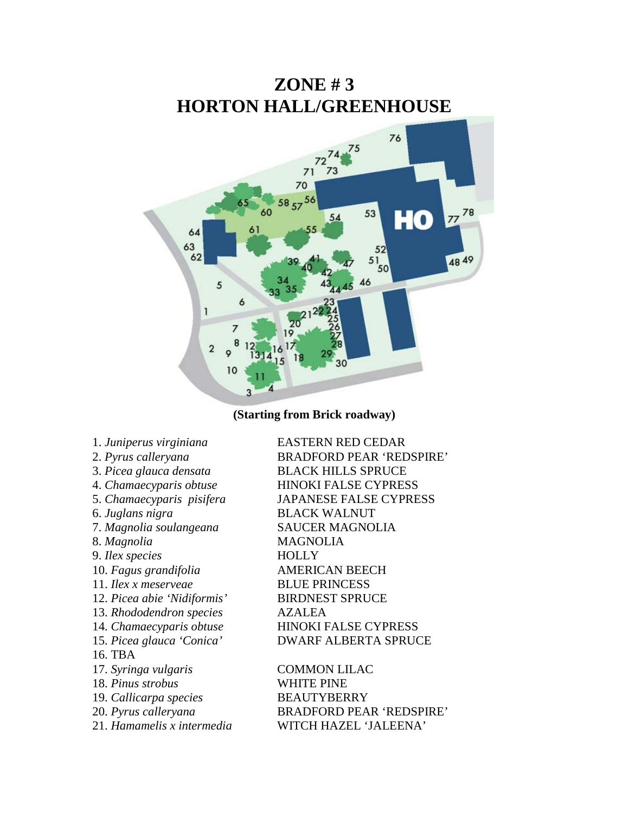

**(Starting from Brick roadway)**

- 
- 
- 
- 
- 
- 
- 7. *Magnolia soulangeana* SAUCER MAGNOLIA
- 
- 9. *Ilex species* HOLLY
- 
- 11. *Ilex x meserveae* BLUE PRINCESS
- 12. *Picea abie 'Nidiformis'* BIRDNEST SPRUCE
- 13. *Rhododendron species* AZALEA
- 
- 
- 16. TBA
- 17. *Syringa vulgaris* COMMON LILAC
- 18. *Pinus strobus* WHITE PINE
- 19. *Callicarpa species* BEAUTYBERRY
- 
- 

1. *Juniperus virginiana* EASTERN RED CEDAR 2. *Pyrus calleryana* BRADFORD PEAR 'REDSPIRE' 3. *Picea glauca densata* BLACK HILLS SPRUCE 4. *Chamaecyparis obtuse* HINOKI FALSE CYPRESS 5. *Chamaecyparis pisifera* JAPANESE FALSE CYPRESS 6. *Juglans nigra* BLACK WALNUT 8. *Magnolia* MAGNOLIA 10. *Fagus grandifolia* AMERICAN BEECH 14. *Chamaecyparis obtuse* HINOKI FALSE CYPRESS 15. *Picea glauca 'Conica'* DWARF ALBERTA SPRUCE

20. *Pyrus calleryana* BRADFORD PEAR 'REDSPIRE' 21. *Hamamelis x intermedia* WITCH HAZEL 'JALEENA'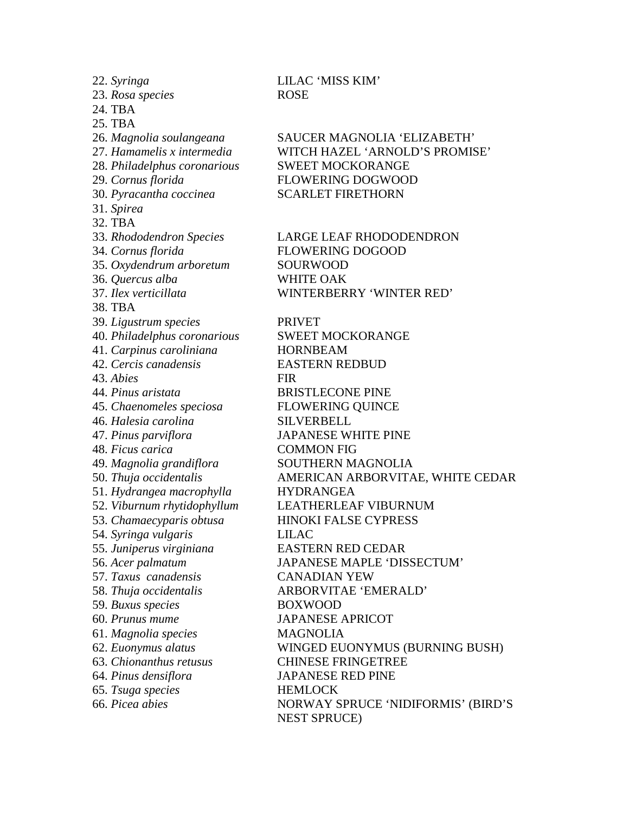22. *Syringa* LILAC 'MISS KIM' 23. *Rosa species* ROSE 24. TBA 25. TBA 28. *Philadelphus coronarious* SWEET MOCKORANGE 29. *Cornus florida* FLOWERING DOGWOOD 30. *Pyracantha coccinea* SCARLET FIRETHORN 31. *Spirea* 32. TBA 34. *Cornus florida* FLOWERING DOGOOD 35. *Oxydendrum arboretum* SOURWOOD 36. *Quercus alba* WHITE OAK 38. TBA 39. *Ligustrum species* PRIVET 40. *Philadelphus coronarious* SWEET MOCKORANGE 41. *Carpinus caroliniana* HORNBEAM 42. *Cercis canadensis* EASTERN REDBUD 43. *Abies* FIR 44. *Pinus aristata* BRISTLECONE PINE 45. *Chaenomeles speciosa* FLOWERING QUINCE 46. *Halesia carolina* SILVERBELL 47. *Pinus parviflora* JAPANESE WHITE PINE 48. *Ficus carica* COMMON FIG 49. *Magnolia grandiflora* SOUTHERN MAGNOLIA 51. *Hydrangea macrophylla* HYDRANGEA 54. *Syringa vulgaris* LILAC 55. *Juniperus virginiana* EASTERN RED CEDAR 57. *Taxus canadensis* CANADIAN YEW 59. *Buxus species* BOXWOOD 60. *Prunus mume* JAPANESE APRICOT 61. *Magnolia species* MAGNOLIA 63. *Chionanthus retusus* CHINESE FRINGETREE 64. *Pinus densiflora* JAPANESE RED PINE 65. *Tsuga species* HEMLOCK

26. *Magnolia soulangeana* SAUCER MAGNOLIA 'ELIZABETH' 27. *Hamamelis x intermedia* WITCH HAZEL 'ARNOLD'S PROMISE'

33. *Rhododendron Species* LARGE LEAF RHODODENDRON 37. *Ilex verticillata* WINTERBERRY 'WINTER RED'

50. *Thuja occidentalis* AMERICAN ARBORVITAE, WHITE CEDAR 52. *Viburnum rhytidophyllum* LEATHERLEAF VIBURNUM 53. *Chamaecyparis obtusa* HINOKI FALSE CYPRESS 56. *Acer palmatum* JAPANESE MAPLE 'DISSECTUM' 58. *Thuja occidentalis* ARBORVITAE 'EMERALD' 62. *Euonymus alatus* WINGED EUONYMUS (BURNING BUSH) 66. *Picea abies* NORWAY SPRUCE 'NIDIFORMIS' (BIRD'S NEST SPRUCE)